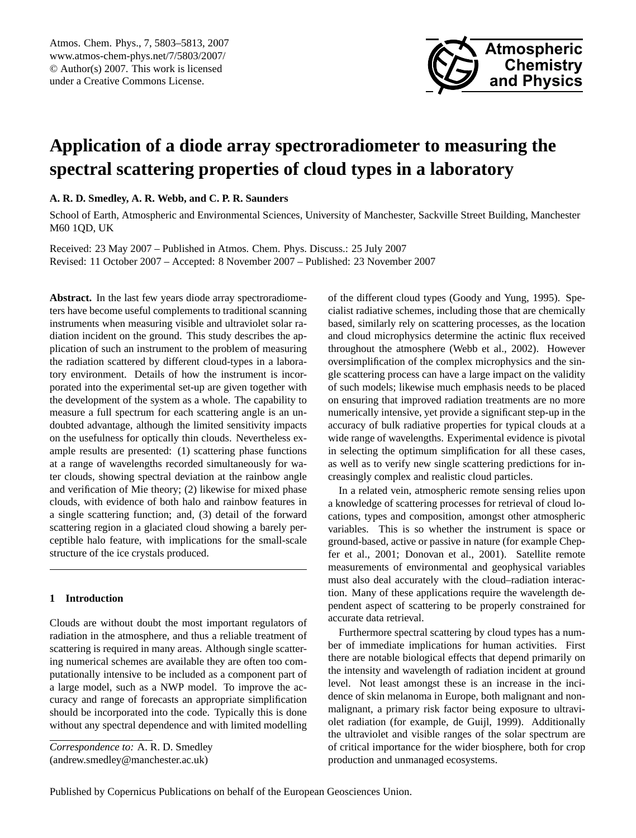

# <span id="page-0-0"></span>**Application of a diode array spectroradiometer to measuring the spectral scattering properties of cloud types in a laboratory**

**A. R. D. Smedley, A. R. Webb, and C. P. R. Saunders**

School of Earth, Atmospheric and Environmental Sciences, University of Manchester, Sackville Street Building, Manchester M60 1QD, UK

Received: 23 May 2007 – Published in Atmos. Chem. Phys. Discuss.: 25 July 2007 Revised: 11 October 2007 – Accepted: 8 November 2007 – Published: 23 November 2007

**Abstract.** In the last few years diode array spectroradiometers have become useful complements to traditional scanning instruments when measuring visible and ultraviolet solar radiation incident on the ground. This study describes the application of such an instrument to the problem of measuring the radiation scattered by different cloud-types in a laboratory environment. Details of how the instrument is incorporated into the experimental set-up are given together with the development of the system as a whole. The capability to measure a full spectrum for each scattering angle is an undoubted advantage, although the limited sensitivity impacts on the usefulness for optically thin clouds. Nevertheless example results are presented: (1) scattering phase functions at a range of wavelengths recorded simultaneously for water clouds, showing spectral deviation at the rainbow angle and verification of Mie theory; (2) likewise for mixed phase clouds, with evidence of both halo and rainbow features in a single scattering function; and, (3) detail of the forward scattering region in a glaciated cloud showing a barely perceptible halo feature, with implications for the small-scale structure of the ice crystals produced.

# **1 Introduction**

Clouds are without doubt the most important regulators of radiation in the atmosphere, and thus a reliable treatment of scattering is required in many areas. Although single scattering numerical schemes are available they are often too computationally intensive to be included as a component part of a large model, such as a NWP model. To improve the accuracy and range of forecasts an appropriate simplification should be incorporated into the code. Typically this is done without any spectral dependence and with limited modelling

*Correspondence to:* A. R. D. Smedley

(andrew.smedley@manchester.ac.uk)

of the different cloud types (Goody and Yung, 1995). Specialist radiative schemes, including those that are chemically based, similarly rely on scattering processes, as the location and cloud microphysics determine the actinic flux received throughout the atmosphere (Webb et al., 2002). However oversimplification of the complex microphysics and the single scattering process can have a large impact on the validity of such models; likewise much emphasis needs to be placed on ensuring that improved radiation treatments are no more numerically intensive, yet provide a significant step-up in the accuracy of bulk radiative properties for typical clouds at a wide range of wavelengths. Experimental evidence is pivotal in selecting the optimum simplification for all these cases, as well as to verify new single scattering predictions for increasingly complex and realistic cloud particles.

In a related vein, atmospheric remote sensing relies upon a knowledge of scattering processes for retrieval of cloud locations, types and composition, amongst other atmospheric variables. This is so whether the instrument is space or ground-based, active or passive in nature (for example Chepfer et al., 2001; Donovan et al., 2001). Satellite remote measurements of environmental and geophysical variables must also deal accurately with the cloud–radiation interaction. Many of these applications require the wavelength dependent aspect of scattering to be properly constrained for accurate data retrieval.

Furthermore spectral scattering by cloud types has a number of immediate implications for human activities. First there are notable biological effects that depend primarily on the intensity and wavelength of radiation incident at ground level. Not least amongst these is an increase in the incidence of skin melanoma in Europe, both malignant and nonmalignant, a primary risk factor being exposure to ultraviolet radiation (for example, de Guijl, 1999). Additionally the ultraviolet and visible ranges of the solar spectrum are of critical importance for the wider biosphere, both for crop production and unmanaged ecosystems.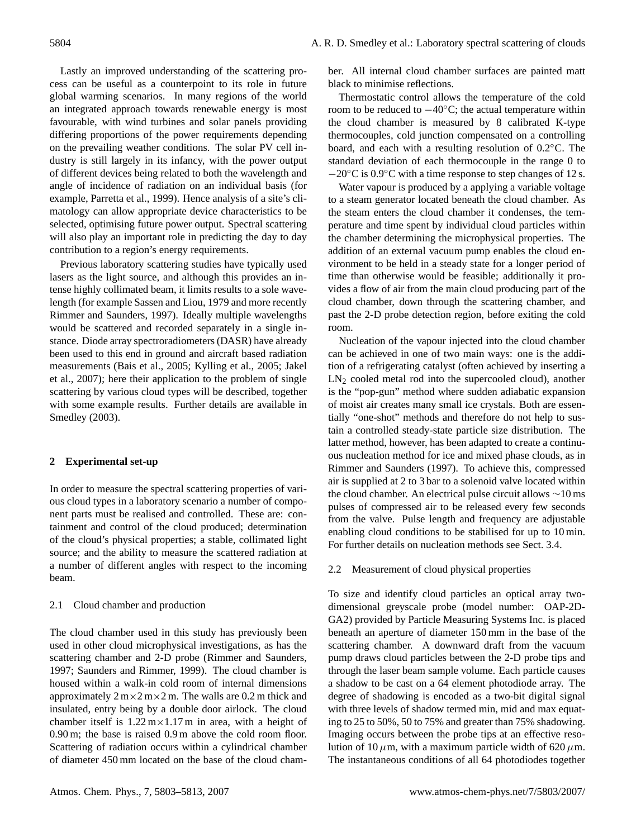Lastly an improved understanding of the scattering process can be useful as a counterpoint to its role in future global warming scenarios. In many regions of the world an integrated approach towards renewable energy is most favourable, with wind turbines and solar panels providing differing proportions of the power requirements depending on the prevailing weather conditions. The solar PV cell industry is still largely in its infancy, with the power output of different devices being related to both the wavelength and angle of incidence of radiation on an individual basis (for example, Parretta et al., 1999). Hence analysis of a site's climatology can allow appropriate device characteristics to be selected, optimising future power output. Spectral scattering will also play an important role in predicting the day to day contribution to a region's energy requirements.

Previous laboratory scattering studies have typically used lasers as the light source, and although this provides an intense highly collimated beam, it limits results to a sole wavelength (for example Sassen and Liou, 1979 and more recently Rimmer and Saunders, 1997). Ideally multiple wavelengths would be scattered and recorded separately in a single instance. Diode array spectroradiometers (DASR) have already been used to this end in ground and aircraft based radiation measurements (Bais et al., 2005; Kylling et al., 2005; Jakel et al., 2007); here their application to the problem of single scattering by various cloud types will be described, together with some example results. Further details are available in Smedley (2003).

## **2 Experimental set-up**

In order to measure the spectral scattering properties of various cloud types in a laboratory scenario a number of component parts must be realised and controlled. These are: containment and control of the cloud produced; determination of the cloud's physical properties; a stable, collimated light source; and the ability to measure the scattered radiation at a number of different angles with respect to the incoming beam.

#### 2.1 Cloud chamber and production

The cloud chamber used in this study has previously been used in other cloud microphysical investigations, as has the scattering chamber and 2-D probe (Rimmer and Saunders, 1997; Saunders and Rimmer, 1999). The cloud chamber is housed within a walk-in cold room of internal dimensions approximately  $2 \text{ m} \times 2 \text{ m} \times 2 \text{ m}$ . The walls are 0.2 m thick and insulated, entry being by a double door airlock. The cloud chamber itself is  $1.22 \text{ m} \times 1.17 \text{ m}$  in area, with a height of 0.90 m; the base is raised 0.9 m above the cold room floor. Scattering of radiation occurs within a cylindrical chamber of diameter 450 mm located on the base of the cloud chamber. All internal cloud chamber surfaces are painted matt black to minimise reflections.

Thermostatic control allows the temperature of the cold room to be reduced to −40◦C; the actual temperature within the cloud chamber is measured by 8 calibrated K-type thermocouples, cold junction compensated on a controlling board, and each with a resulting resolution of 0.2◦C. The standard deviation of each thermocouple in the range 0 to  $-20\degree$ C is 0.9 $\degree$ C with a time response to step changes of 12 s.

Water vapour is produced by a applying a variable voltage to a steam generator located beneath the cloud chamber. As the steam enters the cloud chamber it condenses, the temperature and time spent by individual cloud particles within the chamber determining the microphysical properties. The addition of an external vacuum pump enables the cloud environment to be held in a steady state for a longer period of time than otherwise would be feasible; additionally it provides a flow of air from the main cloud producing part of the cloud chamber, down through the scattering chamber, and past the 2-D probe detection region, before exiting the cold room.

Nucleation of the vapour injected into the cloud chamber can be achieved in one of two main ways: one is the addition of a refrigerating catalyst (often achieved by inserting a  $LN<sub>2</sub>$  cooled metal rod into the supercooled cloud), another is the "pop-gun" method where sudden adiabatic expansion of moist air creates many small ice crystals. Both are essentially "one-shot" methods and therefore do not help to sustain a controlled steady-state particle size distribution. The latter method, however, has been adapted to create a continuous nucleation method for ice and mixed phase clouds, as in Rimmer and Saunders (1997). To achieve this, compressed air is supplied at 2 to 3 bar to a solenoid valve located within the cloud chamber. An electrical pulse circuit allows ∼10 ms pulses of compressed air to be released every few seconds from the valve. Pulse length and frequency are adjustable enabling cloud conditions to be stabilised for up to 10 min. For further details on nucleation methods see Sect. 3.4.

## 2.2 Measurement of cloud physical properties

To size and identify cloud particles an optical array twodimensional greyscale probe (model number: OAP-2D-GA2) provided by Particle Measuring Systems Inc. is placed beneath an aperture of diameter 150 mm in the base of the scattering chamber. A downward draft from the vacuum pump draws cloud particles between the 2-D probe tips and through the laser beam sample volume. Each particle causes a shadow to be cast on a 64 element photodiode array. The degree of shadowing is encoded as a two-bit digital signal with three levels of shadow termed min, mid and max equating to 25 to 50%, 50 to 75% and greater than 75% shadowing. Imaging occurs between the probe tips at an effective resolution of 10  $\mu$ m, with a maximum particle width of 620  $\mu$ m. The instantaneous conditions of all 64 photodiodes together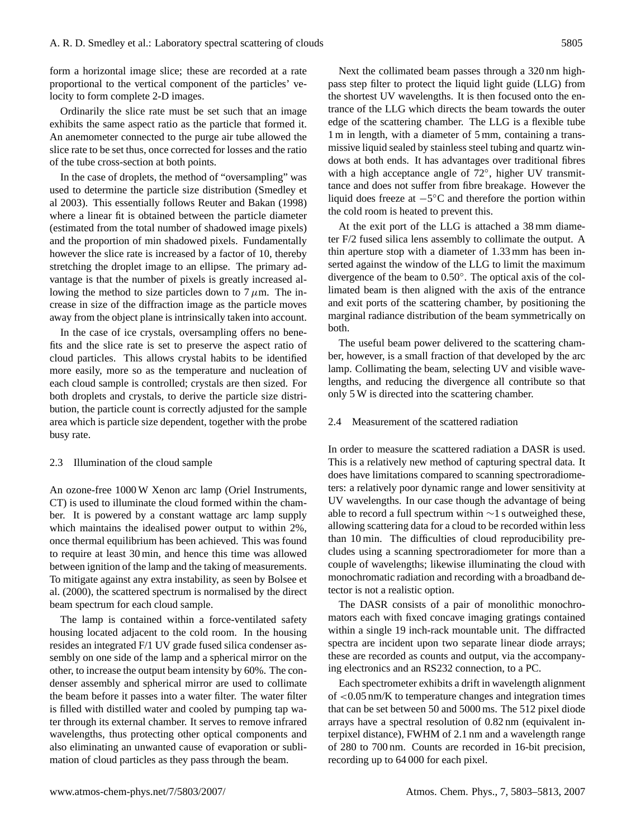form a horizontal image slice; these are recorded at a rate proportional to the vertical component of the particles' velocity to form complete 2-D images.

Ordinarily the slice rate must be set such that an image exhibits the same aspect ratio as the particle that formed it. An anemometer connected to the purge air tube allowed the slice rate to be set thus, once corrected for losses and the ratio of the tube cross-section at both points.

In the case of droplets, the method of "oversampling" was used to determine the particle size distribution (Smedley et al 2003). This essentially follows Reuter and Bakan (1998) where a linear fit is obtained between the particle diameter (estimated from the total number of shadowed image pixels) and the proportion of min shadowed pixels. Fundamentally however the slice rate is increased by a factor of 10, thereby stretching the droplet image to an ellipse. The primary advantage is that the number of pixels is greatly increased allowing the method to size particles down to  $7 \mu$ m. The increase in size of the diffraction image as the particle moves away from the object plane is intrinsically taken into account.

In the case of ice crystals, oversampling offers no benefits and the slice rate is set to preserve the aspect ratio of cloud particles. This allows crystal habits to be identified more easily, more so as the temperature and nucleation of each cloud sample is controlled; crystals are then sized. For both droplets and crystals, to derive the particle size distribution, the particle count is correctly adjusted for the sample area which is particle size dependent, together with the probe busy rate.

#### 2.3 Illumination of the cloud sample

An ozone-free 1000 W Xenon arc lamp (Oriel Instruments, CT) is used to illuminate the cloud formed within the chamber. It is powered by a constant wattage arc lamp supply which maintains the idealised power output to within 2%, once thermal equilibrium has been achieved. This was found to require at least 30 min, and hence this time was allowed between ignition of the lamp and the taking of measurements. To mitigate against any extra instability, as seen by Bolsee et al. (2000), the scattered spectrum is normalised by the direct beam spectrum for each cloud sample.

The lamp is contained within a force-ventilated safety housing located adjacent to the cold room. In the housing resides an integrated F/1 UV grade fused silica condenser assembly on one side of the lamp and a spherical mirror on the other, to increase the output beam intensity by 60%. The condenser assembly and spherical mirror are used to collimate the beam before it passes into a water filter. The water filter is filled with distilled water and cooled by pumping tap water through its external chamber. It serves to remove infrared wavelengths, thus protecting other optical components and also eliminating an unwanted cause of evaporation or sublimation of cloud particles as they pass through the beam.

Next the collimated beam passes through a 320 nm highpass step filter to protect the liquid light guide (LLG) from the shortest UV wavelengths. It is then focused onto the entrance of the LLG which directs the beam towards the outer edge of the scattering chamber. The LLG is a flexible tube 1 m in length, with a diameter of 5 mm, containing a transmissive liquid sealed by stainless steel tubing and quartz windows at both ends. It has advantages over traditional fibres with a high acceptance angle of 72°, higher UV transmittance and does not suffer from fibre breakage. However the liquid does freeze at −5 ◦C and therefore the portion within the cold room is heated to prevent this.

At the exit port of the LLG is attached a 38 mm diameter F/2 fused silica lens assembly to collimate the output. A thin aperture stop with a diameter of 1.33 mm has been inserted against the window of the LLG to limit the maximum divergence of the beam to 0.50◦ . The optical axis of the collimated beam is then aligned with the axis of the entrance and exit ports of the scattering chamber, by positioning the marginal radiance distribution of the beam symmetrically on both.

The useful beam power delivered to the scattering chamber, however, is a small fraction of that developed by the arc lamp. Collimating the beam, selecting UV and visible wavelengths, and reducing the divergence all contribute so that only 5 W is directed into the scattering chamber.

#### 2.4 Measurement of the scattered radiation

In order to measure the scattered radiation a DASR is used. This is a relatively new method of capturing spectral data. It does have limitations compared to scanning spectroradiometers: a relatively poor dynamic range and lower sensitivity at UV wavelengths. In our case though the advantage of being able to record a full spectrum within ∼1 s outweighed these, allowing scattering data for a cloud to be recorded within less than 10 min. The difficulties of cloud reproducibility precludes using a scanning spectroradiometer for more than a couple of wavelengths; likewise illuminating the cloud with monochromatic radiation and recording with a broadband detector is not a realistic option.

The DASR consists of a pair of monolithic monochromators each with fixed concave imaging gratings contained within a single 19 inch-rack mountable unit. The diffracted spectra are incident upon two separate linear diode arrays; these are recorded as counts and output, via the accompanying electronics and an RS232 connection, to a PC.

Each spectrometer exhibits a drift in wavelength alignment of <0.05 nm/K to temperature changes and integration times that can be set between 50 and 5000 ms. The 512 pixel diode arrays have a spectral resolution of 0.82 nm (equivalent interpixel distance), FWHM of 2.1 nm and a wavelength range of 280 to 700 nm. Counts are recorded in 16-bit precision, recording up to 64 000 for each pixel.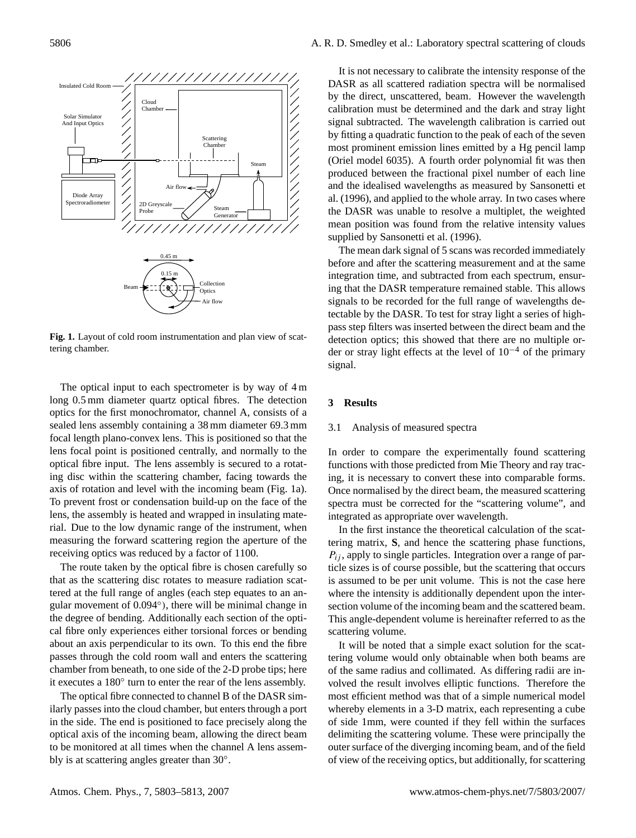

**Fig. 1.** Layout of cold room instrumentation and plan view of scattering chamber.

The optical input to each spectrometer is by way of 4 m long 0.5 mm diameter quartz optical fibres. The detection optics for the first monochromator, channel A, consists of a sealed lens assembly containing a 38 mm diameter 69.3 mm focal length plano-convex lens. This is positioned so that the lens focal point is positioned centrally, and normally to the optical fibre input. The lens assembly is secured to a rotating disc within the scattering chamber, facing towards the axis of rotation and level with the incoming beam (Fig. 1a). To prevent frost or condensation build-up on the face of the lens, the assembly is heated and wrapped in insulating material. Due to the low dynamic range of the instrument, when measuring the forward scattering region the aperture of the receiving optics was reduced by a factor of 1100.

The route taken by the optical fibre is chosen carefully so that as the scattering disc rotates to measure radiation scattered at the full range of angles (each step equates to an angular movement of 0.094◦ ), there will be minimal change in the degree of bending. Additionally each section of the optical fibre only experiences either torsional forces or bending about an axis perpendicular to its own. To this end the fibre passes through the cold room wall and enters the scattering chamber from beneath, to one side of the 2-D probe tips; here it executes a 180◦ turn to enter the rear of the lens assembly.

The optical fibre connected to channel B of the DASR similarly passes into the cloud chamber, but enters through a port in the side. The end is positioned to face precisely along the optical axis of the incoming beam, allowing the direct beam to be monitored at all times when the channel A lens assembly is at scattering angles greater than 30°.

It is not necessary to calibrate the intensity response of the DASR as all scattered radiation spectra will be normalised by the direct, unscattered, beam. However the wavelength calibration must be determined and the dark and stray light signal subtracted. The wavelength calibration is carried out by fitting a quadratic function to the peak of each of the seven most prominent emission lines emitted by a Hg pencil lamp (Oriel model 6035). A fourth order polynomial fit was then produced between the fractional pixel number of each line and the idealised wavelengths as measured by Sansonetti et al. (1996), and applied to the whole array. In two cases where the DASR was unable to resolve a multiplet, the weighted mean position was found from the relative intensity values supplied by Sansonetti et al. (1996).

The mean dark signal of 5 scans was recorded immediately before and after the scattering measurement and at the same integration time, and subtracted from each spectrum, ensuring that the DASR temperature remained stable. This allows signals to be recorded for the full range of wavelengths detectable by the DASR. To test for stray light a series of highpass step filters was inserted between the direct beam and the detection optics; this showed that there are no multiple order or stray light effects at the level of  $10^{-4}$  of the primary signal.

#### **3 Results**

## 3.1 Analysis of measured spectra

In order to compare the experimentally found scattering functions with those predicted from Mie Theory and ray tracing, it is necessary to convert these into comparable forms. Once normalised by the direct beam, the measured scattering spectra must be corrected for the "scattering volume", and integrated as appropriate over wavelength.

In the first instance the theoretical calculation of the scattering matrix, **S**, and hence the scattering phase functions,  $P_{ij}$ , apply to single particles. Integration over a range of particle sizes is of course possible, but the scattering that occurs is assumed to be per unit volume. This is not the case here where the intensity is additionally dependent upon the intersection volume of the incoming beam and the scattered beam. This angle-dependent volume is hereinafter referred to as the scattering volume.

It will be noted that a simple exact solution for the scattering volume would only obtainable when both beams are of the same radius and collimated. As differing radii are involved the result involves elliptic functions. Therefore the most efficient method was that of a simple numerical model whereby elements in a 3-D matrix, each representing a cube of side 1mm, were counted if they fell within the surfaces delimiting the scattering volume. These were principally the outer surface of the diverging incoming beam, and of the field of view of the receiving optics, but additionally, for scattering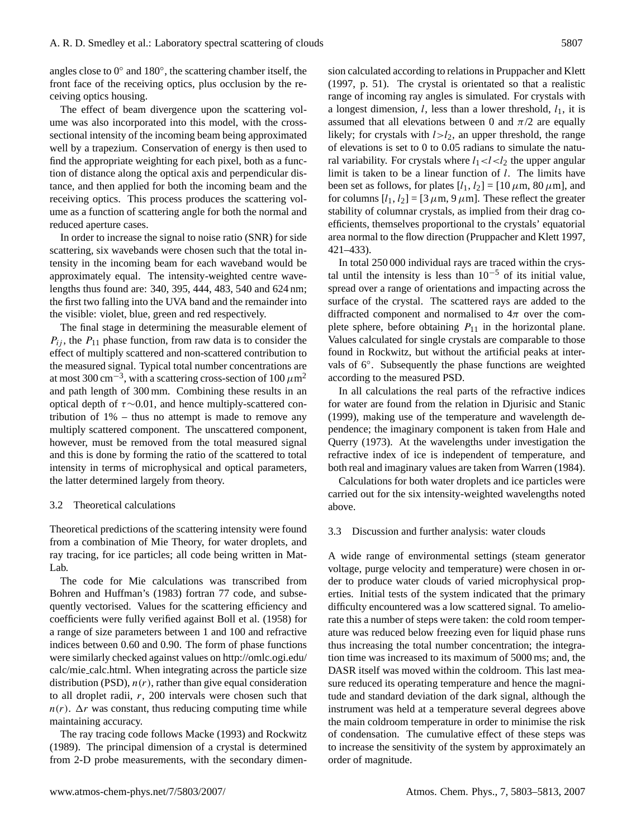angles close to  $0^\circ$  and  $180^\circ$ , the scattering chamber itself, the front face of the receiving optics, plus occlusion by the receiving optics housing.

The effect of beam divergence upon the scattering volume was also incorporated into this model, with the crosssectional intensity of the incoming beam being approximated well by a trapezium. Conservation of energy is then used to find the appropriate weighting for each pixel, both as a function of distance along the optical axis and perpendicular distance, and then applied for both the incoming beam and the receiving optics. This process produces the scattering volume as a function of scattering angle for both the normal and reduced aperture cases.

In order to increase the signal to noise ratio (SNR) for side scattering, six wavebands were chosen such that the total intensity in the incoming beam for each waveband would be approximately equal. The intensity-weighted centre wavelengths thus found are: 340, 395, 444, 483, 540 and 624 nm; the first two falling into the UVA band and the remainder into the visible: violet, blue, green and red respectively.

The final stage in determining the measurable element of  $P_{ij}$ , the  $P_{11}$  phase function, from raw data is to consider the effect of multiply scattered and non-scattered contribution to the measured signal. Typical total number concentrations are at most 300 cm<sup>-3</sup>, with a scattering cross-section of 100  $\mu$ m<sup>2</sup> and path length of 300 mm. Combining these results in an optical depth of  $\tau \sim 0.01$ , and hence multiply-scattered contribution of 1% – thus no attempt is made to remove any multiply scattered component. The unscattered component, however, must be removed from the total measured signal and this is done by forming the ratio of the scattered to total intensity in terms of microphysical and optical parameters, the latter determined largely from theory.

#### 3.2 Theoretical calculations

Theoretical predictions of the scattering intensity were found from a combination of Mie Theory, for water droplets, and ray tracing, for ice particles; all code being written in Mat-Lab.

The code for Mie calculations was transcribed from Bohren and Huffman's (1983) fortran 77 code, and subsequently vectorised. Values for the scattering efficiency and coefficients were fully verified against Boll et al. (1958) for a range of size parameters between 1 and 100 and refractive indices between 0.60 and 0.90. The form of phase functions were similarly checked against values on [http://omlc.ogi.edu/](http://omlc.ogi.edu/calc/mie_calc.html) calc/mie [calc.html.](http://omlc.ogi.edu/calc/mie_calc.html) When integrating across the particle size distribution (PSD),  $n(r)$ , rather than give equal consideration to all droplet radii, r, 200 intervals were chosen such that  $n(r)$ .  $\Delta r$  was constant, thus reducing computing time while maintaining accuracy.

The ray tracing code follows Macke (1993) and Rockwitz (1989). The principal dimension of a crystal is determined from 2-D probe measurements, with the secondary dimension calculated according to relations in Pruppacher and Klett (1997, p. 51). The crystal is orientated so that a realistic range of incoming ray angles is simulated. For crystals with a longest dimension,  $l$ , less than a lower threshold,  $l_1$ , it is assumed that all elevations between 0 and  $\pi/2$  are equally likely; for crystals with  $l > l_2$ , an upper threshold, the range of elevations is set to 0 to 0.05 radians to simulate the natural variability. For crystals where  $l_1 < l < l_2$  the upper angular limit is taken to be a linear function of l. The limits have been set as follows, for plates  $[l_1, l_2] = [10 \,\mu \text{m}, 80 \,\mu \text{m}]$ , and for columns  $[l_1, l_2] = [3 \mu m, 9 \mu m]$ . These reflect the greater stability of columnar crystals, as implied from their drag coefficients, themselves proportional to the crystals' equatorial area normal to the flow direction (Pruppacher and Klett 1997, 421–433).

In total 250 000 individual rays are traced within the crystal until the intensity is less than  $10^{-5}$  of its initial value, spread over a range of orientations and impacting across the surface of the crystal. The scattered rays are added to the diffracted component and normalised to  $4\pi$  over the complete sphere, before obtaining  $P_{11}$  in the horizontal plane. Values calculated for single crystals are comparable to those found in Rockwitz, but without the artificial peaks at intervals of 6°. Subsequently the phase functions are weighted according to the measured PSD.

In all calculations the real parts of the refractive indices for water are found from the relation in Djurisic and Stanic (1999), making use of the temperature and wavelength dependence; the imaginary component is taken from Hale and Querry (1973). At the wavelengths under investigation the refractive index of ice is independent of temperature, and both real and imaginary values are taken from Warren (1984).

Calculations for both water droplets and ice particles were carried out for the six intensity-weighted wavelengths noted above.

#### 3.3 Discussion and further analysis: water clouds

A wide range of environmental settings (steam generator voltage, purge velocity and temperature) were chosen in order to produce water clouds of varied microphysical properties. Initial tests of the system indicated that the primary difficulty encountered was a low scattered signal. To ameliorate this a number of steps were taken: the cold room temperature was reduced below freezing even for liquid phase runs thus increasing the total number concentration; the integration time was increased to its maximum of 5000 ms; and, the DASR itself was moved within the coldroom. This last measure reduced its operating temperature and hence the magnitude and standard deviation of the dark signal, although the instrument was held at a temperature several degrees above the main coldroom temperature in order to minimise the risk of condensation. The cumulative effect of these steps was to increase the sensitivity of the system by approximately an order of magnitude.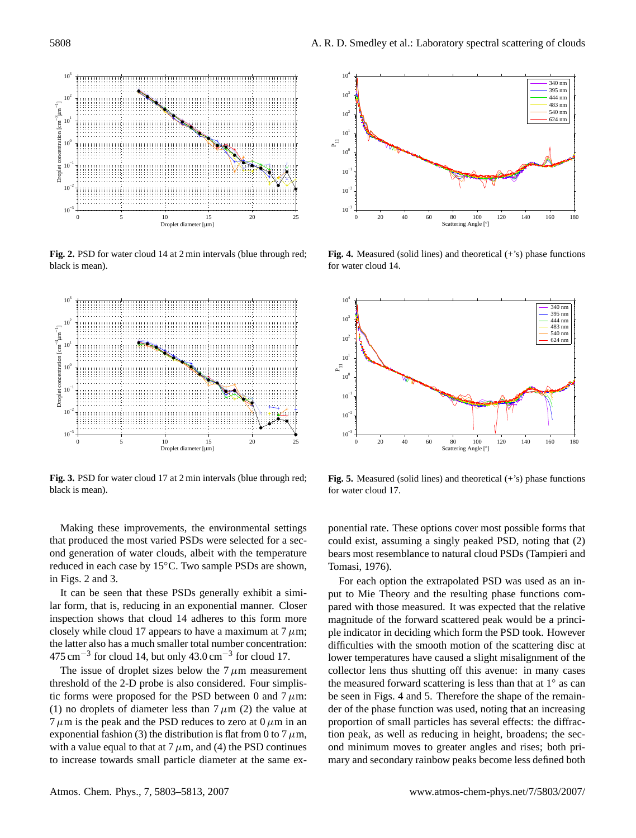

**Fig. 2.** PSD for water cloud 14 at 2 min intervals (blue through red; black is mean).



**Fig. 3.** PSD for water cloud 17 at 2 min intervals (blue through red; black is mean).

Making these improvements, the environmental settings that produced the most varied PSDs were selected for a second generation of water clouds, albeit with the temperature reduced in each case by 15◦C. Two sample PSDs are shown, in Figs. 2 and 3.

It can be seen that these PSDs generally exhibit a similar form, that is, reducing in an exponential manner. Closer inspection shows that cloud 14 adheres to this form more closely while cloud 17 appears to have a maximum at  $7 \mu m$ ; the latter also has a much smaller total number concentration:  $475 \text{ cm}^{-3}$  for cloud 14, but only  $43.0 \text{ cm}^{-3}$  for cloud 17.

The issue of droplet sizes below the  $7 \mu m$  measurement threshold of the 2-D probe is also considered. Four simplistic forms were proposed for the PSD between 0 and 7  $\mu$ m: (1) no droplets of diameter less than  $7 \mu m$  (2) the value at  $7 \mu$ m is the peak and the PSD reduces to zero at  $0 \mu$ m in an exponential fashion (3) the distribution is flat from 0 to 7  $\mu$ m, with a value equal to that at  $7 \mu m$ , and (4) the PSD continues to increase towards small particle diameter at the same ex-



**Fig. 4.** Measured (solid lines) and theoretical (+'s) phase functions for water cloud 14.



**Fig. 5.** Measured (solid lines) and theoretical (+'s) phase functions for water cloud 17.

ponential rate. These options cover most possible forms that could exist, assuming a singly peaked PSD, noting that (2) bears most resemblance to natural cloud PSDs (Tampieri and Tomasi, 1976).

For each option the extrapolated PSD was used as an input to Mie Theory and the resulting phase functions compared with those measured. It was expected that the relative magnitude of the forward scattered peak would be a principle indicator in deciding which form the PSD took. However difficulties with the smooth motion of the scattering disc at lower temperatures have caused a slight misalignment of the collector lens thus shutting off this avenue: in many cases the measured forward scattering is less than that at 1° as can be seen in Figs. 4 and 5. Therefore the shape of the remainder of the phase function was used, noting that an increasing proportion of small particles has several effects: the diffraction peak, as well as reducing in height, broadens; the second minimum moves to greater angles and rises; both primary and secondary rainbow peaks become less defined both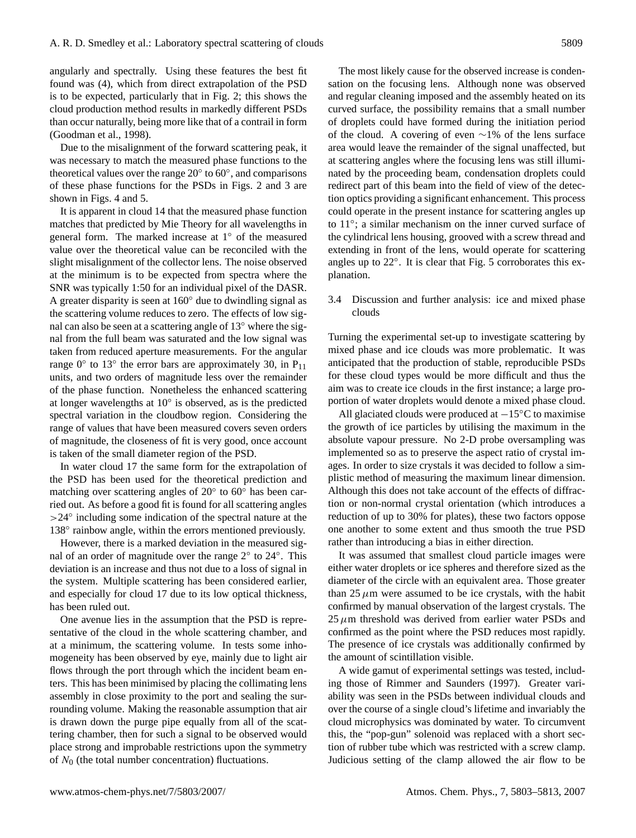angularly and spectrally. Using these features the best fit found was (4), which from direct extrapolation of the PSD is to be expected, particularly that in Fig. 2; this shows the cloud production method results in markedly different PSDs than occur naturally, being more like that of a contrail in form (Goodman et al., 1998).

Due to the misalignment of the forward scattering peak, it was necessary to match the measured phase functions to the theoretical values over the range  $20^{\circ}$  to  $60^{\circ}$ , and comparisons of these phase functions for the PSDs in Figs. 2 and 3 are shown in Figs. 4 and 5.

It is apparent in cloud 14 that the measured phase function matches that predicted by Mie Theory for all wavelengths in general form. The marked increase at 1◦ of the measured value over the theoretical value can be reconciled with the slight misalignment of the collector lens. The noise observed at the minimum is to be expected from spectra where the SNR was typically 1:50 for an individual pixel of the DASR. A greater disparity is seen at 160◦ due to dwindling signal as the scattering volume reduces to zero. The effects of low signal can also be seen at a scattering angle of 13<sup>°</sup> where the signal from the full beam was saturated and the low signal was taken from reduced aperture measurements. For the angular range  $0°$  to 13° the error bars are approximately 30, in P<sub>11</sub> units, and two orders of magnitude less over the remainder of the phase function. Nonetheless the enhanced scattering at longer wavelengths at 10° is observed, as is the predicted spectral variation in the cloudbow region. Considering the range of values that have been measured covers seven orders of magnitude, the closeness of fit is very good, once account is taken of the small diameter region of the PSD.

In water cloud 17 the same form for the extrapolation of the PSD has been used for the theoretical prediction and matching over scattering angles of  $20^{\circ}$  to  $60^{\circ}$  has been carried out. As before a good fit is found for all scattering angles >24◦ including some indication of the spectral nature at the 138° rainbow angle, within the errors mentioned previously.

However, there is a marked deviation in the measured signal of an order of magnitude over the range 2° to 24°. This deviation is an increase and thus not due to a loss of signal in the system. Multiple scattering has been considered earlier, and especially for cloud 17 due to its low optical thickness, has been ruled out.

One avenue lies in the assumption that the PSD is representative of the cloud in the whole scattering chamber, and at a minimum, the scattering volume. In tests some inhomogeneity has been observed by eye, mainly due to light air flows through the port through which the incident beam enters. This has been minimised by placing the collimating lens assembly in close proximity to the port and sealing the surrounding volume. Making the reasonable assumption that air is drawn down the purge pipe equally from all of the scattering chamber, then for such a signal to be observed would place strong and improbable restrictions upon the symmetry of  $N_0$  (the total number concentration) fluctuations.

The most likely cause for the observed increase is condensation on the focusing lens. Although none was observed and regular cleaning imposed and the assembly heated on its curved surface, the possibility remains that a small number of droplets could have formed during the initiation period of the cloud. A covering of even ∼1% of the lens surface area would leave the remainder of the signal unaffected, but at scattering angles where the focusing lens was still illuminated by the proceeding beam, condensation droplets could redirect part of this beam into the field of view of the detection optics providing a significant enhancement. This process could operate in the present instance for scattering angles up to 11°; a similar mechanism on the inner curved surface of the cylindrical lens housing, grooved with a screw thread and extending in front of the lens, would operate for scattering angles up to 22◦ . It is clear that Fig. 5 corroborates this explanation.

3.4 Discussion and further analysis: ice and mixed phase clouds

Turning the experimental set-up to investigate scattering by mixed phase and ice clouds was more problematic. It was anticipated that the production of stable, reproducible PSDs for these cloud types would be more difficult and thus the aim was to create ice clouds in the first instance; a large proportion of water droplets would denote a mixed phase cloud.

All glaciated clouds were produced at  $-15\degree C$  to maximise the growth of ice particles by utilising the maximum in the absolute vapour pressure. No 2-D probe oversampling was implemented so as to preserve the aspect ratio of crystal images. In order to size crystals it was decided to follow a simplistic method of measuring the maximum linear dimension. Although this does not take account of the effects of diffraction or non-normal crystal orientation (which introduces a reduction of up to 30% for plates), these two factors oppose one another to some extent and thus smooth the true PSD rather than introducing a bias in either direction.

It was assumed that smallest cloud particle images were either water droplets or ice spheres and therefore sized as the diameter of the circle with an equivalent area. Those greater than 25  $\mu$ m were assumed to be ice crystals, with the habit confirmed by manual observation of the largest crystals. The  $25 \mu m$  threshold was derived from earlier water PSDs and confirmed as the point where the PSD reduces most rapidly. The presence of ice crystals was additionally confirmed by the amount of scintillation visible.

A wide gamut of experimental settings was tested, including those of Rimmer and Saunders (1997). Greater variability was seen in the PSDs between individual clouds and over the course of a single cloud's lifetime and invariably the cloud microphysics was dominated by water. To circumvent this, the "pop-gun" solenoid was replaced with a short section of rubber tube which was restricted with a screw clamp. Judicious setting of the clamp allowed the air flow to be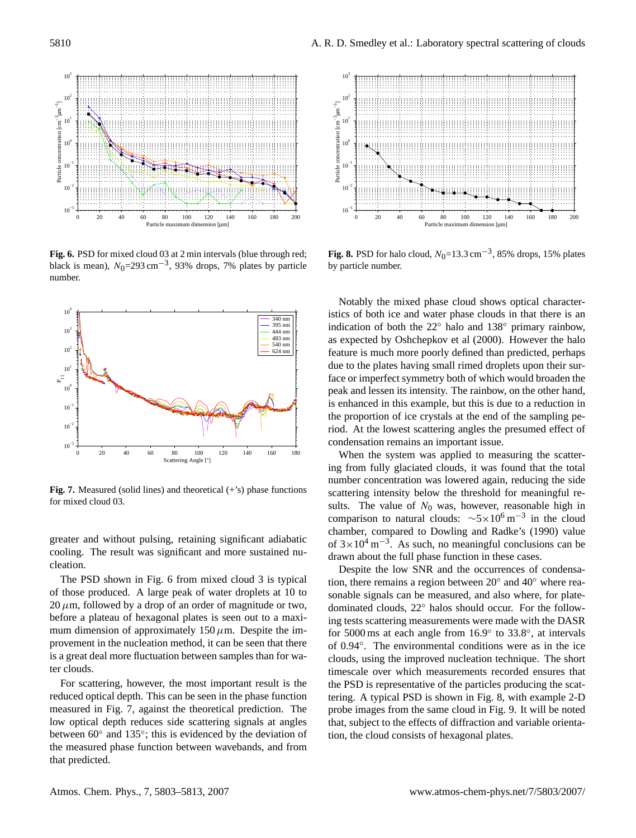

**Fig. 6.** PSD for mixed cloud 03 at 2 min intervals (blue through red; black is mean),  $N_0$ =293 cm<sup>-3</sup>, 93% drops, 7% plates by particle number.



**Fig. 7.** Measured (solid lines) and theoretical (+'s) phase functions for mixed cloud 03.

greater and without pulsing, retaining significant adiabatic cooling. The result was significant and more sustained nucleation.

The PSD shown in Fig. 6 from mixed cloud 3 is typical of those produced. A large peak of water droplets at 10 to  $20 \mu$ m, followed by a drop of an order of magnitude or two, before a plateau of hexagonal plates is seen out to a maximum dimension of approximately 150  $\mu$ m. Despite the improvement in the nucleation method, it can be seen that there is a great deal more fluctuation between samples than for water clouds.

For scattering, however, the most important result is the reduced optical depth. This can be seen in the phase function measured in Fig. 7, against the theoretical prediction. The low optical depth reduces side scattering signals at angles between 60° and 135°; this is evidenced by the deviation of the measured phase function between wavebands, and from that predicted.



**Fig. 8.** PSD for halo cloud,  $N_0 = 13.3 \text{ cm}^{-3}$ , 85% drops, 15% plates by particle number.

Notably the mixed phase cloud shows optical characteristics of both ice and water phase clouds in that there is an indication of both the 22◦ halo and 138◦ primary rainbow, as expected by Oshchepkov et al (2000). However the halo feature is much more poorly defined than predicted, perhaps due to the plates having small rimed droplets upon their surface or imperfect symmetry both of which would broaden the peak and lessen its intensity. The rainbow, on the other hand, is enhanced in this example, but this is due to a reduction in the proportion of ice crystals at the end of the sampling period. At the lowest scattering angles the presumed effect of condensation remains an important issue.

When the system was applied to measuring the scattering from fully glaciated clouds, it was found that the total number concentration was lowered again, reducing the side scattering intensity below the threshold for meaningful results. The value of  $N_0$  was, however, reasonable high in comparison to natural clouds:  $\sim 5 \times 10^6$  m<sup>-3</sup> in the cloud chamber, compared to Dowling and Radke's (1990) value of  $3 \times 10^4$  m<sup>-3</sup>. As such, no meaningful conclusions can be drawn about the full phase function in these cases.

Despite the low SNR and the occurrences of condensation, there remains a region between 20◦ and 40◦ where reasonable signals can be measured, and also where, for platedominated clouds, 22◦ halos should occur. For the following tests scattering measurements were made with the DASR for 5000 ms at each angle from  $16.9°$  to 33.8°, at intervals of 0.94◦ . The environmental conditions were as in the ice clouds, using the improved nucleation technique. The short timescale over which measurements recorded ensures that the PSD is representative of the particles producing the scattering. A typical PSD is shown in Fig. 8, with example 2-D probe images from the same cloud in Fig. 9. It will be noted that, subject to the effects of diffraction and variable orientation, the cloud consists of hexagonal plates.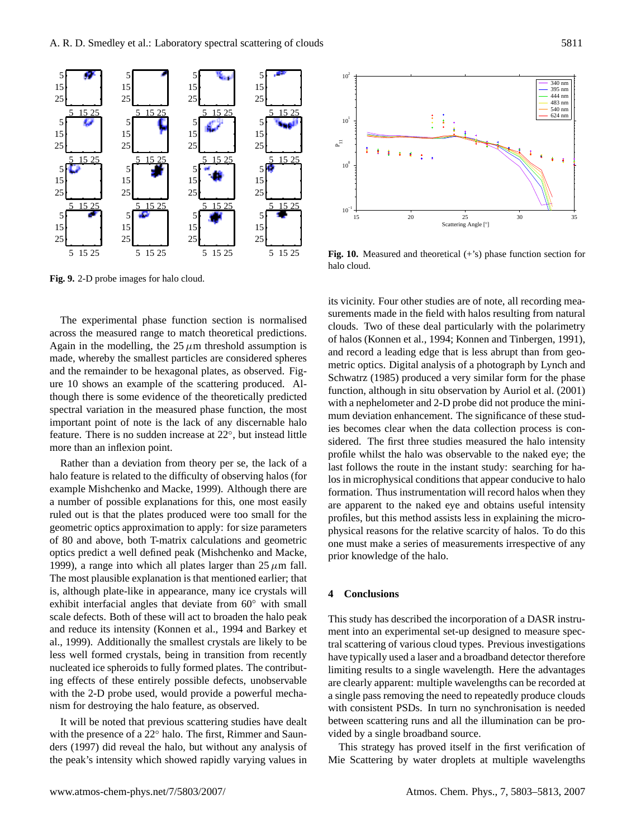

**Fig. 9.** 2-D probe images for halo cloud.

The experimental phase function section is normalised across the measured range to match theoretical predictions. Again in the modelling, the  $25 \mu m$  threshold assumption is made, whereby the smallest particles are considered spheres and the remainder to be hexagonal plates, as observed. Figure 10 shows an example of the scattering produced. Although there is some evidence of the theoretically predicted spectral variation in the measured phase function, the most important point of note is the lack of any discernable halo feature. There is no sudden increase at 22◦ , but instead little more than an inflexion point.

Rather than a deviation from theory per se, the lack of a halo feature is related to the difficulty of observing halos (for example Mishchenko and Macke, 1999). Although there are a number of possible explanations for this, one most easily ruled out is that the plates produced were too small for the geometric optics approximation to apply: for size parameters of 80 and above, both T-matrix calculations and geometric optics predict a well defined peak (Mishchenko and Macke, 1999), a range into which all plates larger than  $25 \mu m$  fall. The most plausible explanation is that mentioned earlier; that is, although plate-like in appearance, many ice crystals will exhibit interfacial angles that deviate from 60◦ with small scale defects. Both of these will act to broaden the halo peak and reduce its intensity (Konnen et al., 1994 and Barkey et al., 1999). Additionally the smallest crystals are likely to be less well formed crystals, being in transition from recently nucleated ice spheroids to fully formed plates. The contributing effects of these entirely possible defects, unobservable with the 2-D probe used, would provide a powerful mechanism for destroying the halo feature, as observed.

It will be noted that previous scattering studies have dealt with the presence of a 22<sup>°</sup> halo. The first, Rimmer and Saunders (1997) did reveal the halo, but without any analysis of the peak's intensity which showed rapidly varying values in



Fig. 10. Measured and theoretical  $(+)$ s) phase function section for halo cloud.

its vicinity. Four other studies are of note, all recording measurements made in the field with halos resulting from natural clouds. Two of these deal particularly with the polarimetry of halos (Konnen et al., 1994; Konnen and Tinbergen, 1991), and record a leading edge that is less abrupt than from geometric optics. Digital analysis of a photograph by Lynch and Schwatrz (1985) produced a very similar form for the phase function, although in situ observation by Auriol et al. (2001) with a nephelometer and 2-D probe did not produce the minimum deviation enhancement. The significance of these studies becomes clear when the data collection process is considered. The first three studies measured the halo intensity profile whilst the halo was observable to the naked eye; the last follows the route in the instant study: searching for halos in microphysical conditions that appear conducive to halo formation. Thus instrumentation will record halos when they are apparent to the naked eye and obtains useful intensity profiles, but this method assists less in explaining the microphysical reasons for the relative scarcity of halos. To do this one must make a series of measurements irrespective of any prior knowledge of the halo.

#### **4 Conclusions**

This study has described the incorporation of a DASR instrument into an experimental set-up designed to measure spectral scattering of various cloud types. Previous investigations have typically used a laser and a broadband detector therefore limiting results to a single wavelength. Here the advantages are clearly apparent: multiple wavelengths can be recorded at a single pass removing the need to repeatedly produce clouds with consistent PSDs. In turn no synchronisation is needed between scattering runs and all the illumination can be provided by a single broadband source.

This strategy has proved itself in the first verification of Mie Scattering by water droplets at multiple wavelengths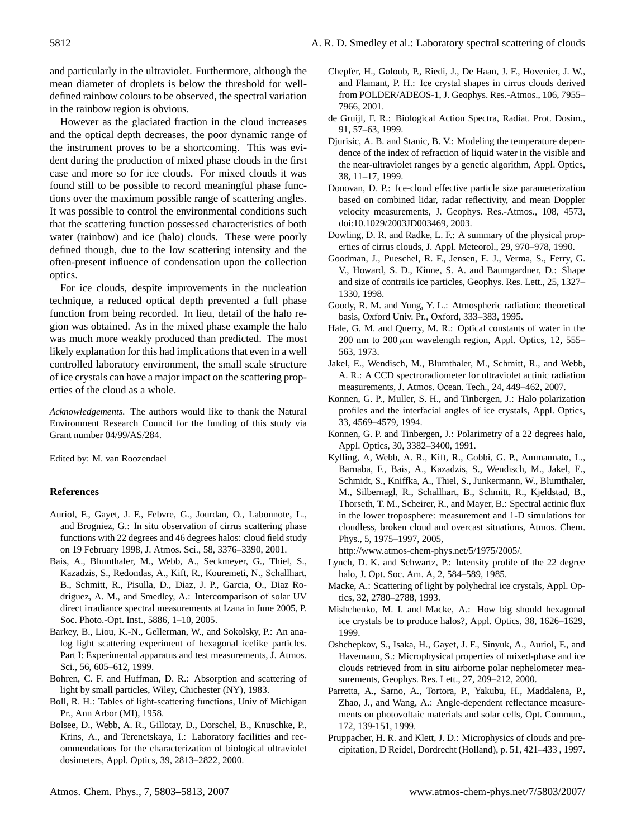and particularly in the ultraviolet. Furthermore, although the mean diameter of droplets is below the threshold for welldefined rainbow colours to be observed, the spectral variation in the rainbow region is obvious.

However as the glaciated fraction in the cloud increases and the optical depth decreases, the poor dynamic range of the instrument proves to be a shortcoming. This was evident during the production of mixed phase clouds in the first case and more so for ice clouds. For mixed clouds it was found still to be possible to record meaningful phase functions over the maximum possible range of scattering angles. It was possible to control the environmental conditions such that the scattering function possessed characteristics of both water (rainbow) and ice (halo) clouds. These were poorly defined though, due to the low scattering intensity and the often-present influence of condensation upon the collection optics.

For ice clouds, despite improvements in the nucleation technique, a reduced optical depth prevented a full phase function from being recorded. In lieu, detail of the halo region was obtained. As in the mixed phase example the halo was much more weakly produced than predicted. The most likely explanation for this had implications that even in a well controlled laboratory environment, the small scale structure of ice crystals can have a major impact on the scattering properties of the cloud as a whole.

*Acknowledgements.* The authors would like to thank the Natural Environment Research Council for the funding of this study via Grant number 04/99/AS/284.

Edited by: M. van Roozendael

#### **References**

- Auriol, F., Gayet, J. F., Febvre, G., Jourdan, O., Labonnote, L., and Brogniez, G.: In situ observation of cirrus scattering phase functions with 22 degrees and 46 degrees halos: cloud field study on 19 February 1998, J. Atmos. Sci., 58, 3376–3390, 2001.
- Bais, A., Blumthaler, M., Webb, A., Seckmeyer, G., Thiel, S., Kazadzis, S., Redondas, A., Kift, R., Kouremeti, N., Schallhart, B., Schmitt, R., Pisulla, D., Diaz, J. P., Garcia, O., Diaz Rodriguez, A. M., and Smedley, A.: Intercomparison of solar UV direct irradiance spectral measurements at Izana in June 2005, P. Soc. Photo.-Opt. Inst., 5886, 1–10, 2005.
- Barkey, B., Liou, K.-N., Gellerman, W., and Sokolsky, P.: An analog light scattering experiment of hexagonal icelike particles. Part I: Experimental apparatus and test measurements, J. Atmos. Sci., 56, 605–612, 1999.
- Bohren, C. F. and Huffman, D. R.: Absorption and scattering of light by small particles, Wiley, Chichester (NY), 1983.
- Boll, R. H.: Tables of light-scattering functions, Univ of Michigan Pr., Ann Arbor (MI), 1958.
- Bolsee, D., Webb, A. R., Gillotay, D., Dorschel, B., Knuschke, P., Krins, A., and Terenetskaya, I.: Laboratory facilities and recommendations for the characterization of biological ultraviolet dosimeters, Appl. Optics, 39, 2813–2822, 2000.
- Chepfer, H., Goloub, P., Riedi, J., De Haan, J. F., Hovenier, J. W., and Flamant, P. H.: Ice crystal shapes in cirrus clouds derived from POLDER/ADEOS-1, J. Geophys. Res.-Atmos., 106, 7955– 7966, 2001.
- de Gruijl, F. R.: Biological Action Spectra, Radiat. Prot. Dosim., 91, 57–63, 1999.
- Djurisic, A. B. and Stanic, B. V.: Modeling the temperature dependence of the index of refraction of liquid water in the visible and the near-ultraviolet ranges by a genetic algorithm, Appl. Optics, 38, 11–17, 1999.
- Donovan, D. P.: Ice-cloud effective particle size parameterization based on combined lidar, radar reflectivity, and mean Doppler velocity measurements, J. Geophys. Res.-Atmos., 108, 4573, doi:10.1029/2003JD003469, 2003.
- Dowling, D. R. and Radke, L. F.: A summary of the physical properties of cirrus clouds, J. Appl. Meteorol., 29, 970–978, 1990.
- Goodman, J., Pueschel, R. F., Jensen, E. J., Verma, S., Ferry, G. V., Howard, S. D., Kinne, S. A. and Baumgardner, D.: Shape and size of contrails ice particles, Geophys. Res. Lett., 25, 1327– 1330, 1998.
- Goody, R. M. and Yung, Y. L.: Atmospheric radiation: theoretical basis, Oxford Univ. Pr., Oxford, 333–383, 1995.
- Hale, G. M. and Querry, M. R.: Optical constants of water in the 200 nm to  $200 \mu$ m wavelength region, Appl. Optics, 12, 555– 563, 1973.
- Jakel, E., Wendisch, M., Blumthaler, M., Schmitt, R., and Webb, A. R.: A CCD spectroradiometer for ultraviolet actinic radiation measurements, J. Atmos. Ocean. Tech., 24, 449–462, 2007.
- Konnen, G. P., Muller, S. H., and Tinbergen, J.: Halo polarization profiles and the interfacial angles of ice crystals, Appl. Optics, 33, 4569–4579, 1994.
- Konnen, G. P. and Tinbergen, J.: Polarimetry of a 22 degrees halo, Appl. Optics, 30, 3382–3400, 1991.
- Kylling, A, Webb, A. R., Kift, R., Gobbi, G. P., Ammannato, L., Barnaba, F., Bais, A., Kazadzis, S., Wendisch, M., Jakel, E., Schmidt, S., Kniffka, A., Thiel, S., Junkermann, W., Blumthaler, M., Silbernagl, R., Schallhart, B., Schmitt, R., Kjeldstad, B., Thorseth, T. M., Scheirer, R., and Mayer, B.: Spectral actinic flux in the lower troposphere: measurement and 1-D simulations for cloudless, broken cloud and overcast situations, Atmos. Chem. Phys., 5, 1975–1997, 2005,

[http://www.atmos-chem-phys.net/5/1975/2005/.](http://www.atmos-chem-phys.net/5/1975/2005/)

- Lynch, D. K. and Schwartz, P.: Intensity profile of the 22 degree halo, J. Opt. Soc. Am. A, 2, 584–589, 1985.
- Macke, A.: Scattering of light by polyhedral ice crystals, Appl. Optics, 32, 2780–2788, 1993.
- Mishchenko, M. I. and Macke, A.: How big should hexagonal ice crystals be to produce halos?, Appl. Optics, 38, 1626–1629, 1999.
- Oshchepkov, S., Isaka, H., Gayet, J. F., Sinyuk, A., Auriol, F., and Havemann, S.: Microphysical properties of mixed-phase and ice clouds retrieved from in situ airborne polar nephelometer measurements, Geophys. Res. Lett., 27, 209–212, 2000.
- Parretta, A., Sarno, A., Tortora, P., Yakubu, H., Maddalena, P., Zhao, J., and Wang, A.: Angle-dependent reflectance measurements on photovoltaic materials and solar cells, Opt. Commun., 172, 139-151, 1999.
- Pruppacher, H. R. and Klett, J. D.: Microphysics of clouds and precipitation, D Reidel, Dordrecht (Holland), p. 51, 421–433 , 1997.